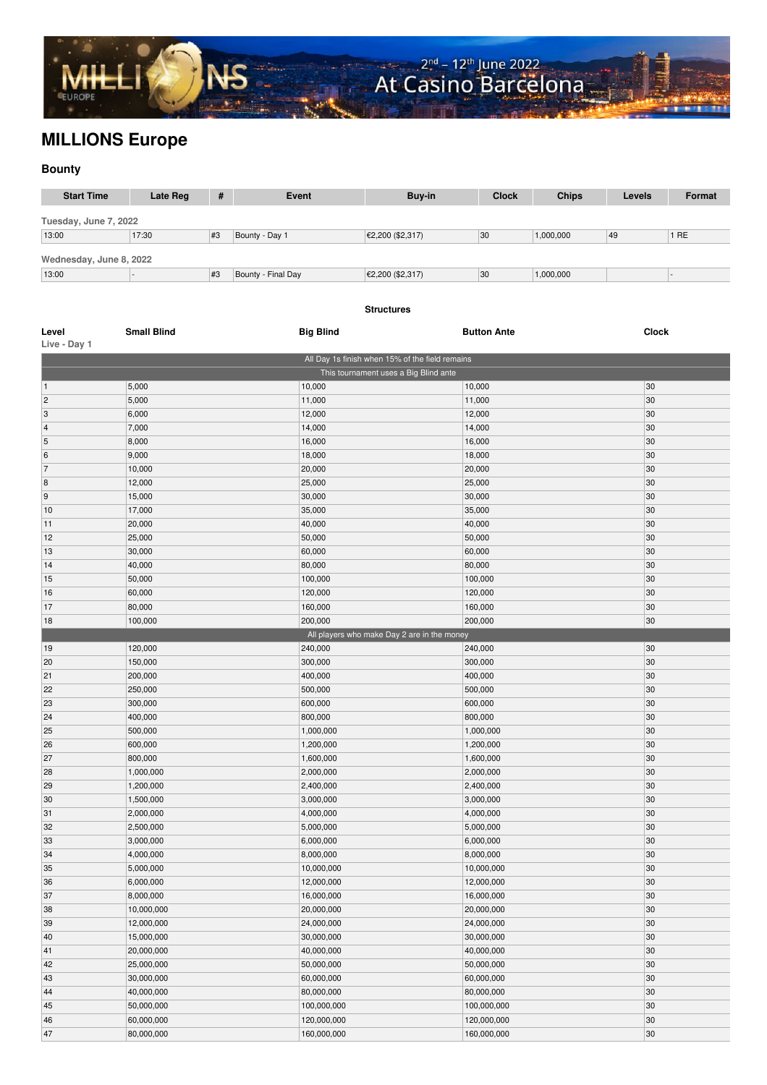

## **MILLIONS Europe**

## **Bounty**

| <b>Start Time</b>       | Late Reg               | #  | <b>Event</b>           | Buy-in                                                                                   | <b>Clock</b>           | <b>Chips</b> | Levels       | <b>Format</b> |  |
|-------------------------|------------------------|----|------------------------|------------------------------------------------------------------------------------------|------------------------|--------------|--------------|---------------|--|
| Tuesday, June 7, 2022   |                        |    |                        |                                                                                          |                        |              |              |               |  |
| 13:00                   | 17:30                  | #3 | Bounty - Day 1         | €2,200 (\$2,317)                                                                         | 30                     | 1,000,000    | 49           | 1RE           |  |
|                         |                        |    |                        |                                                                                          |                        |              |              |               |  |
| Wednesday, June 8, 2022 |                        |    |                        |                                                                                          |                        |              |              |               |  |
| 13:00                   |                        | #3 | Bounty - Final Day     | €2,200 (\$2,317)                                                                         | 30                     | 1,000,000    |              |               |  |
|                         |                        |    |                        |                                                                                          |                        |              |              |               |  |
|                         |                        |    |                        | <b>Structures</b>                                                                        |                        |              |              |               |  |
|                         |                        |    |                        |                                                                                          |                        |              |              |               |  |
| Level                   | <b>Small Blind</b>     |    | <b>Big Blind</b>       |                                                                                          | <b>Button Ante</b>     |              | <b>Clock</b> |               |  |
| Live - Day 1            |                        |    |                        |                                                                                          |                        |              |              |               |  |
|                         |                        |    |                        | All Day 1s finish when 15% of the field remains<br>This tournament uses a Big Blind ante |                        |              |              |               |  |
| $\vert$ 1               | 5,000                  |    | 10,000                 |                                                                                          | 10,000                 |              | 30           |               |  |
| $\overline{2}$          | 5,000                  |    | 11,000                 |                                                                                          | 11,000                 |              | 30           |               |  |
| 3                       | 6,000                  |    | 12,000                 |                                                                                          | 12,000                 |              | 30           |               |  |
| $\overline{\mathbf{4}}$ | 7,000                  |    | 14,000                 |                                                                                          | 14,000                 |              | 30           |               |  |
| 5                       | 8,000                  |    | 16,000                 |                                                                                          |                        | 16,000       |              | 30            |  |
| 6                       | 9,000                  |    | 18,000                 |                                                                                          |                        | 18,000       |              | 30            |  |
| 7                       | 10,000                 |    | 20,000                 |                                                                                          |                        | 20,000       |              | 30            |  |
| $\vert 8$               | 12,000                 |    | 25,000                 |                                                                                          |                        | 25,000       |              | 30            |  |
| 9                       | 15,000                 |    | 30,000                 |                                                                                          |                        | 30,000       |              | 30            |  |
| 10                      | 17,000                 |    | 35,000                 |                                                                                          | 35,000                 |              |              | 30            |  |
| 11                      | 20,000                 |    | 40,000                 |                                                                                          | 40,000                 |              | 30           |               |  |
| 12                      | 25,000                 |    | 50,000                 |                                                                                          | 50,000                 |              | 30           |               |  |
| 13                      | 30,000                 |    | 60,000                 |                                                                                          | 60,000                 |              | 30           |               |  |
| 14                      | 40,000                 |    | 80,000                 |                                                                                          | 80,000                 |              | 30           |               |  |
| 15                      | 50,000                 |    | 100,000                |                                                                                          | 100,000                |              | 30           |               |  |
| 16<br>17                | 60,000                 |    | 120,000                |                                                                                          | 120,000                |              | 30<br>30     |               |  |
| 18                      | 80,000<br>100,000      |    | 160,000<br>200,000     |                                                                                          | 160,000<br>200,000     |              | 30           |               |  |
|                         |                        |    |                        | All players who make Day 2 are in the money                                              |                        |              |              |               |  |
| 19                      | 120,000                |    | 240,000                |                                                                                          | 240,000                |              | 30           |               |  |
| 20                      | 150,000                |    | 300,000                |                                                                                          | 300,000                |              | 30           |               |  |
| 21                      | 200,000                |    | 400,000                |                                                                                          | 400,000                |              | 30           |               |  |
| 22                      | 250,000                |    | 500,000                |                                                                                          | 500,000                |              | 30           |               |  |
| 23                      | 300,000                |    | 600,000                |                                                                                          | 600,000                |              | 30           |               |  |
| 24                      | 400,000                |    | 800,000                |                                                                                          | 800,000                |              | 30           |               |  |
| 25                      | 500,000                |    | 1,000,000              |                                                                                          | 1,000,000              |              | 30           |               |  |
| 26                      | 600,000                |    | 1,200,000              |                                                                                          | 1,200,000              |              | 30           |               |  |
| 27                      | 800,000                |    | 1,600,000              |                                                                                          | 1,600,000              |              | 30           |               |  |
| 28                      | 1,000,000              |    | 2,000,000              |                                                                                          | 2,000,000              |              | 30           |               |  |
| 29                      | 1,200,000              |    | 2,400,000<br>3,000,000 |                                                                                          | 2,400,000<br>3,000,000 |              | 30           |               |  |
| 30<br>31                | 1,500,000<br>2,000,000 |    | 4,000,000              |                                                                                          | 4,000,000              |              | 30<br>30     |               |  |
| 32                      | 2,500,000              |    | 5,000,000              |                                                                                          | 5,000,000              |              | 30           |               |  |
| 33                      | 3,000,000              |    | 6,000,000              |                                                                                          | 6,000,000              |              | 30           |               |  |
| 34                      | 4,000,000              |    | 8,000,000              |                                                                                          | 8,000,000              |              | 30           |               |  |
| 35                      | 5,000,000              |    | 10,000,000             |                                                                                          | 10,000,000             |              | 30           |               |  |
| 36                      | 6,000,000              |    | 12,000,000             |                                                                                          | 12,000,000             |              | 30           |               |  |
| 37                      | 8,000,000              |    | 16,000,000             |                                                                                          | 16,000,000             |              | 30           |               |  |
| 38                      | 10,000,000             |    | 20,000,000             |                                                                                          | 20,000,000             |              | 30           |               |  |
| 39                      | 12,000,000             |    | 24,000,000             |                                                                                          | 24,000,000             |              | 30           |               |  |
| 40                      | 15,000,000             |    | 30,000,000             |                                                                                          | 30,000,000             |              | 30           |               |  |
| 41                      | 20,000,000             |    | 40,000,000             |                                                                                          | 40,000,000             |              | 30           |               |  |
| 42                      | 25,000,000             |    | 50,000,000             |                                                                                          | 50,000,000             |              | 30           |               |  |
| 43                      | 30,000,000             |    | 60,000,000             |                                                                                          | 60,000,000             |              | 30           |               |  |
| 44                      | 40,000,000             |    | 80,000,000             |                                                                                          | 80,000,000             |              | 30           |               |  |
| 45                      | 50,000,000             |    | 100,000,000            |                                                                                          | 100,000,000            |              | 30           |               |  |
| 46                      | 60,000,000             |    | 120,000,000            |                                                                                          | 120,000,000            |              | 30           |               |  |
| 47                      | 80,000,000             |    | 160,000,000            |                                                                                          | 160,000,000            |              | 30           |               |  |